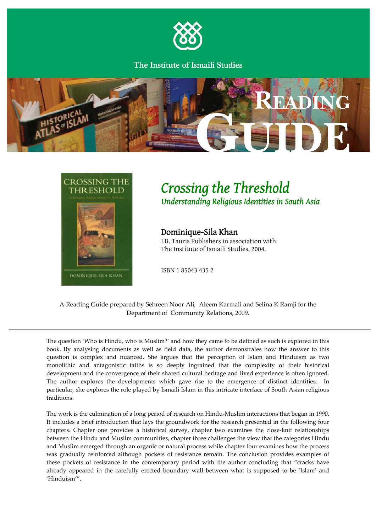

The Institute of Ismaili Studies





# *Crossing the Threshold Understanding Religious Identities in South Asia*

# Dominique-Sila Khan

I.B. Tauris Publishers in association with The Institute of Ismaili Studies, 2004.

ISBN 1 85043 435 2

A Reading Guide prepared by Sehreen Noor Ali, Aleem Karmali and Selina K Ramji for the Department of Community Relations, 2009.

The question 'Who is Hindu, who is Muslim?' and how they came to be defined as such is explored in this book. By analysing documents as well as field data, the author demonstrates how the answer to this question is complex and nuanced. She argues that the perception of Islam and Hinduism as two monolithic and antagonistic faiths is so deeply ingrained that the complexity of their historical development and the convergence of their shared cultural heritage and lived experience is often ignored. The author explores the developments which gave rise to the emergence of distinct identities. In particular, she explores the role played by Ismaili Islam in this intricate interface of South Asian religious traditions.

The work is the culmination of a long period of research on Hindu-Muslim interactions that began in 1990. It includes a brief introduction that lays the groundwork for the research presented in the following four chapters. Chapter one provides a historical survey, chapter two examines the close-knit relationships between the Hindu and Muslim communities, chapter three challenges the view that the categories Hindu and Muslim emerged through an organic or natural process while chapter four examines how the process was gradually reinforced although pockets of resistance remain. The conclusion provides examples of these pockets of resistance in the contemporary period with the author concluding that "cracks have already appeared in the carefully erected boundary wall between what is supposed to be 'Islam' and 'Hinduism'".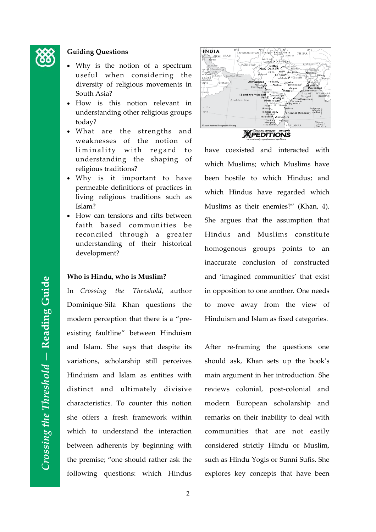

## **Guiding Questions**

- Why is the notion of a spectrum useful when considering the diversity of religious movements in South Asia?
- How is this notion relevant in understanding other religious groups today?
- What are the strengths and weaknesses of the notion of liminality with regard to understanding the shaping of religious traditions?
- Why is it important to have permeable definitions of practices in living religious traditions such as Islam?
- How can tensions and rifts between faith based communities be reconciled through a greater understanding of their historical development?

# **Who is Hindu, who is Muslim?**

In *Crossing the Threshold*, author Dominique‐Sila Khan questions the modern perception that there is a "preexisting faultline" between Hinduism and Islam. She says that despite its variations, scholarship still perceives Hinduism and Islam as entities with distinct and ultimately divisive characteristics. To counter this notion she offers a fresh framework within which to understand the interaction between adherents by beginning with the premise; "one should rather ask the following questions: which Hindus



have coexisted and interacted with which Muslims; which Muslims have been hostile to which Hindus; and which Hindus have regarded which Muslims as their enemies?" (Khan, 4). She argues that the assumption that Hindus and Muslims constitute homogenous groups points to an inaccurate conclusion of constructed and 'imagined communities' that exist in opposition to one another. One needs to move away from the view of Hinduism and Islam as fixed categories.

After re-framing the questions one should ask, Khan sets up the book's main argument in her introduction. She reviews colonial, post‐colonial and modern European scholarship and remarks on their inability to deal with communities that are not easily considered strictly Hindu or Muslim, such as Hindu Yogis or Sunni Sufis. She explores key concepts that have been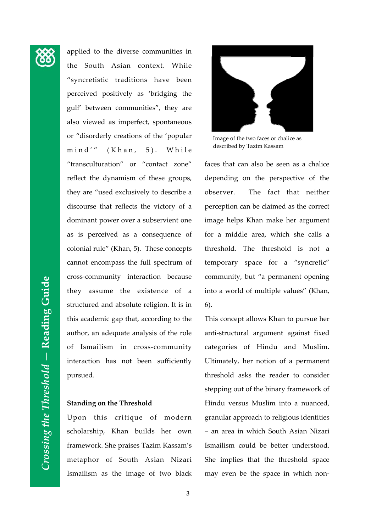applied to the diverse communities in the South Asian context. While "syncretistic traditions have been perceived positively as 'bridging the gulf' between communities", they are also viewed as imperfect, spontaneous or "disorderly creations of the 'popular mind'" (Khan, 5). While "transculturation" or "contact zone" reflect the dynamism of these groups, they are "used exclusively to describe a discourse that reflects the victory of a dominant power over a subservient one as is perceived as a consequence of colonial rule" (Khan, 5). These concepts cannot encompass the full spectrum of cross‐community interaction because they assume the existence of a structured and absolute religion. It is in this academic gap that, according to the author, an adequate analysis of the role of Ismailism in cross‐community interaction has not been sufficiently pursued.

#### **Standing on the Threshold**

Upon this critique of modern scholarship, Khan builds her own framework. She praises Tazim Kassam's metaphor of South Asian Nizari Ismailism as the image of two black



Image of the two faces or chalice as described by Tazim Kassam

faces that can also be seen as a chalice depending on the perspective of the observer. The fact that neither perception can be claimed as the correct image helps Khan make her argument for a middle area, which she calls a threshold. The threshold is not a temporary space for a "syncretic" community, but "a permanent opening into a world of multiple values" (Khan, 6).

This concept allows Khan to pursue her anti‐structural argument against fixed categories of Hindu and Muslim. Ultimately, her notion of a permanent threshold asks the reader to consider stepping out of the binary framework of Hindu versus Muslim into a nuanced, granular approach to religious identities – an area in which South Asian Nizari Ismailism could be better understood. She implies that the threshold space may even be the space in which non-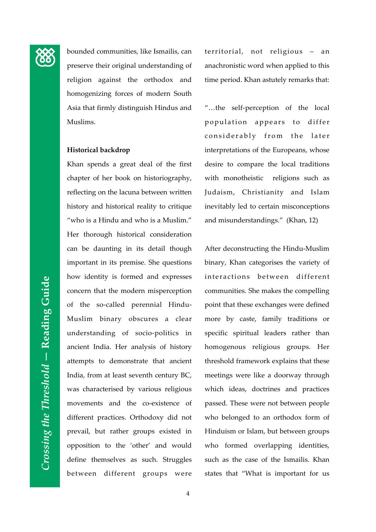

bounded communities, like Ismailis, can preserve their original understanding of religion against the orthodox and homogenizing forces of modern South Asia that firmly distinguish Hindus and Muslims.

### **Historical backdrop**

Khan spends a great deal of the first chapter of her book on historiography, reflecting on the lacuna between written history and historical reality to critique "who is a Hindu and who is a Muslim." Her thorough historical consideration can be daunting in its detail though important in its premise. She questions how identity is formed and expresses concern that the modern misperception of the so-called perennial Hindu-Muslim binary obscures a clear understanding of socio‐politics in ancient India. Her analysis of history attempts to demonstrate that ancient India, from at least seventh century BC, was characterised by various religious movements and the co-existence of different practices. Orthodoxy did not prevail, but rather groups existed in opposition to the 'other' and would define themselves as such. Struggles between different groups were territorial, not religious – an anachronistic word when applied to this time period. Khan astutely remarks that:

"…the self‐perception of the local population appears to differ considerably from the later interpretations of the Europeans, whose desire to compare the local traditions with monotheistic religions such as Judaism, Christianity and Islam inevitably led to certain misconceptions and misunderstandings." (Khan, 12)

After deconstructing the Hindu‐Muslim binary, Khan categorises the variety of interactions between different communities. She makes the compelling point that these exchanges were defined more by caste, family traditions or specific spiritual leaders rather than homogenous religious groups. Her threshold framework explains that these meetings were like a doorway through which ideas, doctrines and practices passed. These were not between people who belonged to an orthodox form of Hinduism or Islam, but between groups who formed overlapping identities, such as the case of the Ismailis. Khan states that "What is important for us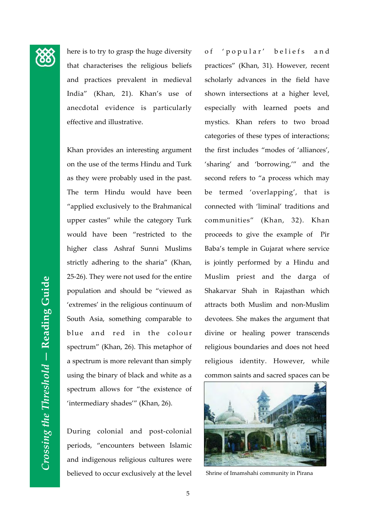

here is to try to grasp the huge diversity that characterises the religious beliefs and practices prevalent in medieval India" (Khan, 21). Khan's use of anecdotal evidence is particularly effective and illustrative.

Khan provides an interesting argument on the use of the terms Hindu and Turk as they were probably used in the past. The term Hindu would have been "applied exclusively to the Brahmanical upper castes" while the category Turk would have been "restricted to the higher class Ashraf Sunni Muslims strictly adhering to the sharia" (Khan, 25‐26). They were not used for the entire population and should be "viewed as 'extremes' in the religious continuum of South Asia, something comparable to blue and red in the colour spectrum" (Khan, 26). This metaphor of a spectrum is more relevant than simply using the binary of black and white as a spectrum allows for "the existence of 'intermediary shades'" (Khan, 26).

During colonial and post-colonial periods, "encounters between Islamic and indigenous religious cultures were believed to occur exclusively at the level

of 'popular' beliefs and practices" (Khan, 31). However, recent scholarly advances in the field have shown intersections at a higher level, especially with learned poets and mystics. Khan refers to two broad categories of these types of interactions; the first includes "modes of 'alliances', 'sharing' and 'borrowing,'" and the second refers to "a process which may be termed 'overlapping', that is connected with 'liminal' traditions and communities" (Khan, 32). Khan proceeds to give the example of Pir Baba's temple in Gujarat where service is jointly performed by a Hindu and Muslim priest and the darga of Shakarvar Shah in Rajasthan which attracts both Muslim and non‐Muslim devotees. She makes the argument that divine or healing power transcends religious boundaries and does not heed religious identity. However, while common saints and sacred spaces can be



Shrine of Imamshahi community in Pirana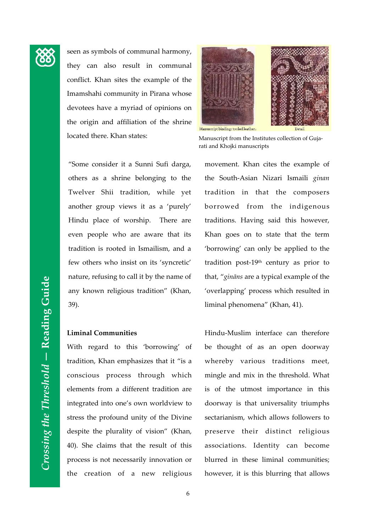

seen as symbols of communal harmony, they can also result in communal conflict. Khan sites the example of the Imamshahi community in Pirana whose devotees have a myriad of opinions on the origin and affiliation of the shrine located there. Khan states:

"Some consider it a Sunni Sufi darga, others as a shrine belonging to the Twelver Shii tradition, while yet another group views it as a 'purely' Hindu place of worship. There are even people who are aware that its tradition is rooted in Ismailism, and a few others who insist on its 'syncretic' nature, refusing to call it by the name of any known religious tradition" (Khan, 39).

#### **Liminal Communities**

With regard to this 'borrowing' of tradition, Khan emphasizes that it "is a conscious process through which elements from a different tradition are integrated into one's own worldview to stress the profound unity of the Divine despite the plurality of vision" (Khan, 40). She claims that the result of this process is not necessarily innovation or the creation of a new religious



Manuscript from the Institutes collection of Gujarati and Khojki manuscripts

movement. Khan cites the example of the South‐Asian Nizari Ismaili *ginan* tradition in that the composers borrowed from the indigenous traditions. Having said this however, Khan goes on to state that the term 'borrowing' can only be applied to the tradition post-19<sup>th</sup> century as prior to that, "*gināns* are a typical example of the 'overlapping' process which resulted in liminal phenomena" (Khan, 41).

Hindu‐Muslim interface can therefore be thought of as an open doorway whereby various traditions meet, mingle and mix in the threshold. What is of the utmost importance in this doorway is that universality triumphs sectarianism, which allows followers to preserve their distinct religious associations. Identity can become blurred in these liminal communities; however, it is this blurring that allows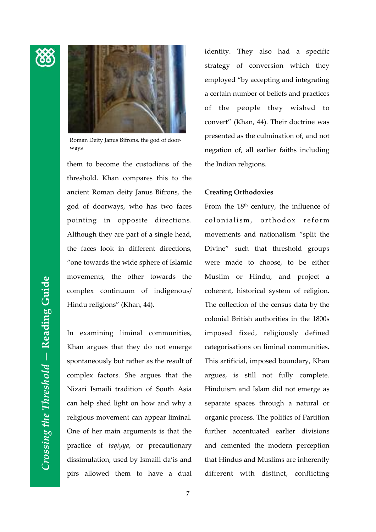



Roman Deity Janus Bifrons, the god of door‐ ways

them to become the custodians of the threshold. Khan compares this to the ancient Roman deity Janus Bifrons, the god of doorways, who has two faces pointing in opposite directions. Although they are part of a single head, the faces look in different directions, "one towards the wide sphere of Islamic movements, the other towards the complex continuum of indigenous/ Hindu religions" (Khan, 44).

In examining liminal communities, Khan argues that they do not emerge spontaneously but rather as the result of complex factors. She argues that the Nizari Ismaili tradition of South Asia can help shed light on how and why a religious movement can appear liminal. One of her main arguments is that the practice of *taqiyya*, or precautionary dissimulation, used by Ismaili da'is and pirs allowed them to have a dual

identity. They also had a specific strategy of conversion which they employed "by accepting and integrating a certain number of beliefs and practices of the people they wished to convert" (Khan, 44). Their doctrine was presented as the culmination of, and not negation of, all earlier faiths including the Indian religions.

### **Creating Orthodoxies**

From the 18th century, the influence of colonialism, orthodox reform movements and nationalism "split the Divine" such that threshold groups were made to choose, to be either Muslim or Hindu, and project a coherent, historical system of religion. The collection of the census data by the colonial British authorities in the 1800s imposed fixed, religiously defined categorisations on liminal communities. This artificial, imposed boundary, Khan argues, is still not fully complete. Hinduism and Islam did not emerge as separate spaces through a natural or organic process. The politics of Partition further accentuated earlier divisions and cemented the modern perception that Hindus and Muslims are inherently different with distinct, conflicting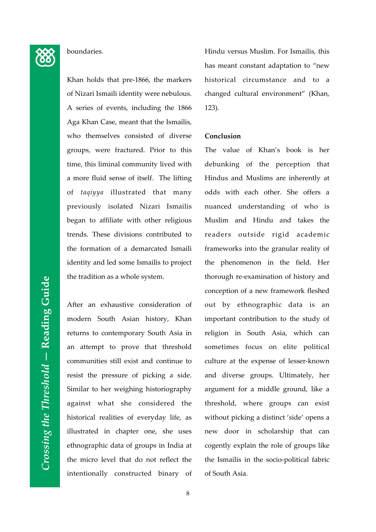

#### boundaries.

Khan holds that pre‐1866, the markers of Nizari Ismaili identity were nebulous. A series of events, including the 1866 Aga Khan Case, meant that the Ismailis, who themselves consisted of diverse groups, were fractured. Prior to this time, this liminal community lived with a more fluid sense of itself. The lifting of *taqiyya* illustrated that many previously isolated Nizari Ismailis began to affiliate with other religious trends. These divisions contributed to the formation of a demarcated Ismaili identity and led some Ismailis to project the tradition as a whole system.

After an exhaustive consideration of modern South Asian history, Khan returns to contemporary South Asia in an attempt to prove that threshold communities still exist and continue to resist the pressure of picking a side. Similar to her weighing historiography against what she considered the historical realities of everyday life, as illustrated in chapter one, she uses ethnographic data of groups in India at the micro level that do not reflect the intentionally constructed binary of Hindu versus Muslim. For Ismailis, this has meant constant adaptation to "new historical circumstance and to a changed cultural environment" (Khan, 123).

#### **Conclusion**

The value of Khan's book is her debunking of the perception that Hindus and Muslims are inherently at odds with each other. She offers a nuanced understanding of who is Muslim and Hindu and takes the readers outside rigid academic frameworks into the granular reality of the phenomenon in the field. Her thorough re‐examination of history and conception of a new framework fleshed out by ethnographic data is an important contribution to the study of religion in South Asia, which can sometimes focus on elite political culture at the expense of lesser‐known and diverse groups. Ultimately, her argument for a middle ground, like a threshold, where groups can exist without picking a distinct 'side' opens a new door in scholarship that can cogently explain the role of groups like the Ismailis in the socio‐political fabric of South Asia.